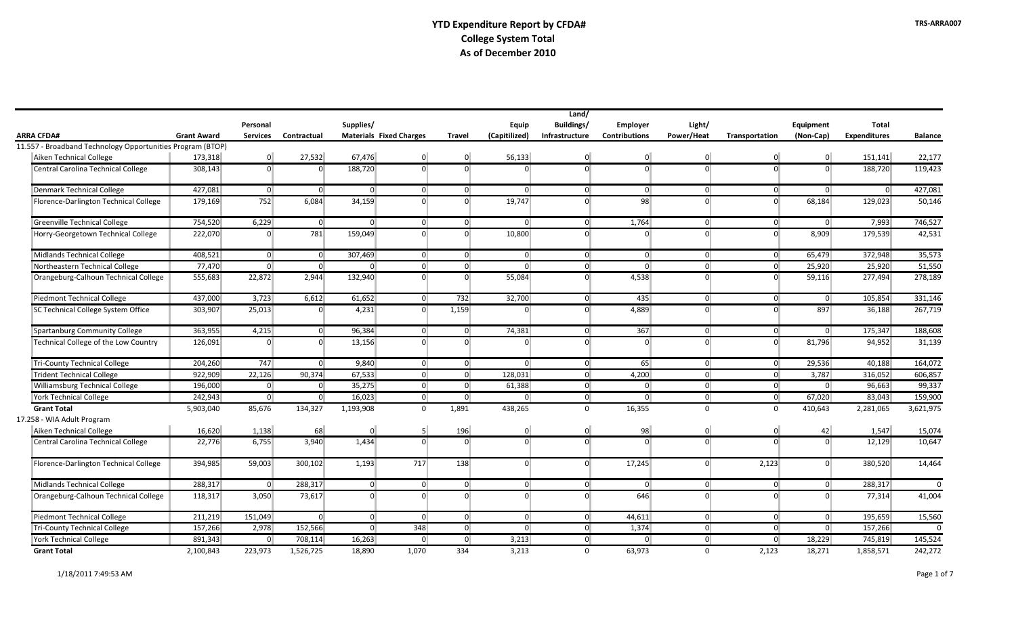|                                                            |                    |                |                |                |                                |                |                | Land/          |                      |                |                |                |                     |                |
|------------------------------------------------------------|--------------------|----------------|----------------|----------------|--------------------------------|----------------|----------------|----------------|----------------------|----------------|----------------|----------------|---------------------|----------------|
|                                                            |                    | Personal       |                | Supplies/      |                                |                | Equip          | Buildings/     | <b>Employer</b>      | Light/         |                | Equipment      | Total               |                |
| ARRA CFDA#                                                 | <b>Grant Award</b> | Services       | Contractual    |                | <b>Materials Fixed Charges</b> | <b>Travel</b>  | (Capitilized)  | Infrastructure | <b>Contributions</b> | Power/Heat     | Transportation | (Non-Cap)      | <b>Expenditures</b> | <b>Balance</b> |
| 11.557 - Broadband Technology Opportunities Program (BTOP) |                    |                |                |                |                                |                |                |                |                      |                |                |                |                     |                |
| Aiken Technical College                                    | 173,318            | $\overline{0}$ | 27,532         | 67,476         | $\overline{0}$                 | 0              | 56,133         | 0              | $\overline{0}$       | $\overline{0}$ | $\overline{0}$ | $\overline{0}$ | 151,141             | 22,177         |
| Central Carolina Technical College                         | 308,143            | $\overline{0}$ | $\Omega$       | 188,720        | $\Omega$                       | $\overline{0}$ | $\Omega$       | $\Omega$       | $\Omega$             | $\Omega$       | $\overline{0}$ | $\Omega$       | 188,720             | 119,423        |
| Denmark Technical College                                  | 427,081            | $\overline{0}$ | 0              | $\overline{0}$ | $\overline{0}$                 | 0              | $\overline{0}$ | $\overline{0}$ | $\overline{0}$       | $\overline{0}$ | 0              | $\overline{0}$ | 0                   | 427,081        |
| Florence-Darlington Technical College                      | 179,169            | 752            | 6,084          | 34,159         | $\Omega$                       | $\overline{0}$ | 19,747         | $\overline{0}$ | 98                   | $\Omega$       | $\overline{0}$ | 68, 184        | 129,023             | 50,146         |
| Greenville Technical College                               | 754,520            | 6,229          | 0              | $\overline{0}$ | $\overline{0}$                 | 0              | $\overline{0}$ | $\overline{0}$ | 1,764                | $\overline{0}$ | 0              | 0              | 7,993               | 746,527        |
| Horry-Georgetown Technical College                         | 222,070            | $\Omega$       | 781            | 159,049        | $\Omega$                       | $\overline{0}$ | 10,800         | $\Omega$       | $\Omega$             | $\Omega$       | $\overline{0}$ | 8,909          | 179,539             | 42,531         |
| Midlands Technical College                                 | 408,521            | $\overline{0}$ | $\overline{0}$ | 307,469        | $\overline{0}$                 | 0              | $\overline{0}$ | $\overline{0}$ | $\overline{0}$       | $\overline{0}$ | 0              | 65,479         | 372.948             | 35,573         |
| Northeastern Technical College                             | 77,470             | $\overline{0}$ | $\overline{0}$ | $\Omega$       | $\overline{0}$                 | $\overline{0}$ | $\Omega$       | $\overline{0}$ | $\overline{0}$       | $\overline{0}$ | $\overline{0}$ | 25,920         | 25,920              | 51,550         |
| Orangeburg-Calhoun Technical College                       | 555,683            | 22,872         | 2,944          | 132,940        | $\overline{0}$                 | $\overline{0}$ | 55,084         | $\overline{0}$ | 4,538                | $\overline{0}$ | $\overline{0}$ | 59,116         | 277,494             | 278,189        |
| Piedmont Technical College                                 | 437,000            | 3,723          | 6,612          | 61,652         | $\overline{0}$                 | 732            | 32,700         | $\overline{0}$ | 435                  | $\overline{0}$ | $\overline{0}$ | $\overline{0}$ | 105,854             | 331,146        |
| SC Technical College System Office                         | 303,907            | 25,013         | $\overline{0}$ | 4,231          | $\overline{0}$                 | 1,159          | $\overline{0}$ | 0              | 4,889                | $\overline{0}$ | $\overline{0}$ | 897            | 36,188              | 267,719        |
| Spartanburg Community College                              | 363,955            | 4,215          | $\overline{0}$ | 96,384         | $\overline{0}$                 | 0              | 74,381         | $\overline{0}$ | 367                  | $\overline{0}$ | 0              | $\overline{0}$ | 175,347             | 188,608        |
| Technical College of the Low Country                       | 126,091            | $\Omega$       | $\overline{0}$ | 13,156         | $\overline{0}$                 | $\overline{0}$ | $\Omega$       | $\overline{0}$ | $\Omega$             | $\overline{0}$ | $\overline{0}$ | 81,796         | 94,952              | 31,139         |
| Tri-County Technical College                               | 204,260            | 747            | 0              | 9,840          | 0                              | 0              | $\overline{0}$ | $\overline{0}$ | 65                   | $\overline{0}$ | 0              | 29,536         | 40,188              | 164,072        |
| Trident Technical College                                  | 922,909            | 22,126         | 90,374         | 67,533         | $\overline{0}$                 | 0              | 128.031        | $\overline{0}$ | 4,200                | $\overline{0}$ | $\overline{0}$ | 3,787          | 316,052             | 606,857        |
| Williamsburg Technical College                             | 196,000            | $\overline{0}$ | $\overline{0}$ | 35,275         | $\overline{0}$                 | $\overline{0}$ | 61,388         | $\overline{0}$ | $\overline{0}$       | $\overline{0}$ | $\overline{0}$ | $\overline{0}$ | 96,663              | 99,337         |
| <b>York Technical College</b>                              | 242,943            | $\overline{0}$ | $\overline{0}$ | 16,023         | $\overline{0}$                 | 0              | $\overline{0}$ | $\overline{0}$ | $\overline{0}$       | $\mathbf{0}$   | $\overline{0}$ | 67,020         | 83,043              | 159,900        |
| <b>Grant Total</b>                                         | 5,903,040          | 85,676         | 134,327        | 1,193,908      | $\overline{0}$                 | 1,891          | 438,265        | $\mathbf{0}$   | 16,355               | $\Omega$       | $\mathbf{0}$   | 410,643        | 2,281,065           | 3,621,975      |
| 17.258 - WIA Adult Program                                 |                    |                |                |                |                                |                |                |                |                      |                |                |                |                     |                |
| Aiken Technical College                                    | 16,620             | 1,138          | 68             | $\Omega$       | 5 <sup>1</sup>                 | 196            | $\overline{0}$ | 0              | 98                   | $\overline{0}$ | $\overline{0}$ | 42             | 1,547               | 15,074         |
| Central Carolina Technical College                         | 22,776             | 6,755          | 3,940          | 1,434          | $\overline{0}$                 | $\overline{0}$ | $\Omega$       | $\overline{0}$ | $\Omega$             | $\Omega$       | $\Omega$       | $\Omega$       | 12,129              | 10,647         |
| Florence-Darlington Technical College                      | 394,985            | 59,003         | 300,102        | 1,193          | 717                            | 138            | $\overline{0}$ | 0              | 17,245               | $\overline{0}$ | 2,123          | $\overline{0}$ | 380,520             | 14,464         |
| Midlands Technical College                                 | 288,317            | $\overline{0}$ | 288,317        | $\overline{0}$ | $\overline{0}$                 | $\overline{0}$ | $\overline{0}$ | $\overline{0}$ | $\overline{0}$       | $\overline{0}$ | $\overline{0}$ | $\overline{0}$ | 288,317             | $\Omega$       |
| Orangeburg-Calhoun Technical College                       | 118,317            | 3,050          | 73,617         | $\overline{0}$ | $\Omega$                       | $\overline{0}$ | $\Omega$       | $\overline{0}$ | 646                  | $\Omega$       | $\Omega$       | $\Omega$       | 77,314              | 41,004         |
| Piedmont Technical College                                 | 211,219            | 151,049        | $\overline{0}$ | $\overline{0}$ | $\overline{0}$                 | 0              | $\mathbf{0}$   | $\overline{0}$ | 44,611               | $\overline{0}$ | $\overline{0}$ | $\overline{0}$ | 195,659             | 15,560         |
| Tri-County Technical College                               | 157,266            | 2,978          | 152,566        | $\overline{0}$ | 348                            | 0              | 0 <sup>1</sup> | $\overline{0}$ | 1,374                | $\overline{0}$ | 0              | $\overline{0}$ | 157,266             | $\Omega$       |
| <b>York Technical College</b>                              | 891,343            | $\overline{0}$ | 708,114        | 16,263         | $\overline{0}$                 | $\overline{0}$ | 3,213          | $\overline{0}$ | $\overline{0}$       | $\overline{0}$ | 0              | 18,229         | 745,819             | 145,524        |
| <b>Grant Total</b>                                         | 2,100,843          | 223,973        | 1,526,725      | 18,890         | 1,070                          | 334            | 3,213          | $\mathbf{0}$   | 63,973               | $\mathbf 0$    | 2,123          | 18,271         | 1,858,571           | 242,272        |

 $\mathbf{r}$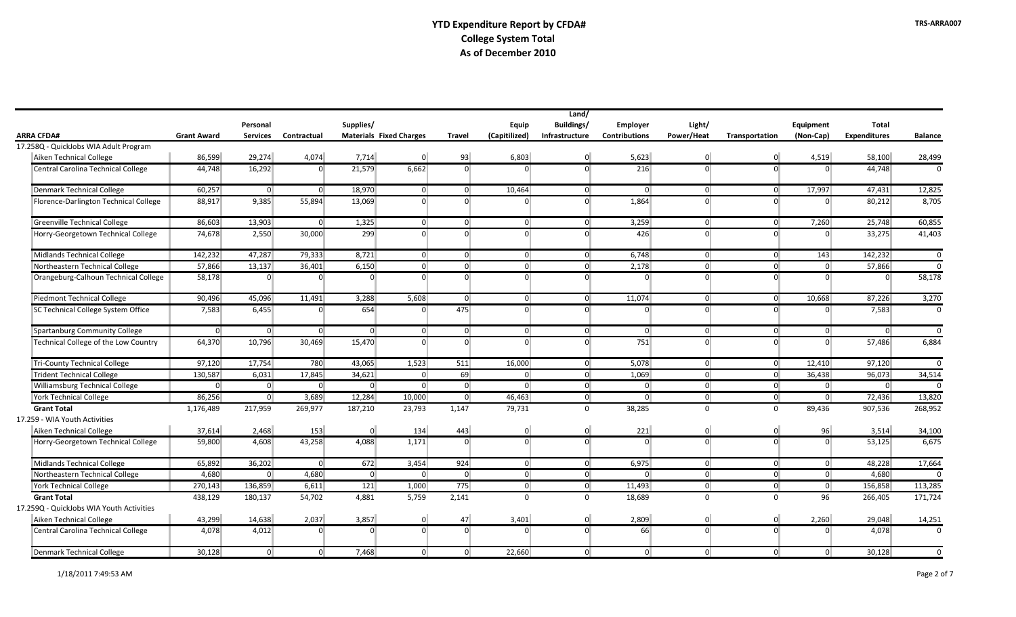|                                          | Land/              |                 |                |           |                                |                |                |                |                      |                |                |                |                     |                |
|------------------------------------------|--------------------|-----------------|----------------|-----------|--------------------------------|----------------|----------------|----------------|----------------------|----------------|----------------|----------------|---------------------|----------------|
|                                          |                    | Personal        |                | Supplies/ |                                |                | Equip          | Buildings/     | <b>Employer</b>      | Light/         |                | Equipment      | <b>Total</b>        |                |
| <b>ARRA CFDA#</b>                        | <b>Grant Award</b> | <b>Services</b> | Contractual    |           | <b>Materials Fixed Charges</b> | <b>Travel</b>  | (Capitilized)  | Infrastructure | <b>Contributions</b> | Power/Heat     | Transportation | (Non-Cap)      | <b>Expenditures</b> | <b>Balance</b> |
| 17.258Q - QuickJobs WIA Adult Program    |                    |                 |                |           |                                |                |                |                |                      |                |                |                |                     |                |
| Aiken Technical College                  | 86,599             | 29,274          | 4,074          | 7,714     | $\Omega$                       | 93             | 6,803          | $\overline{0}$ | 5,623                | $\overline{0}$ | $\overline{0}$ | 4,519          | 58,100              | 28,499         |
| Central Carolina Technical College       | 44,748             | 16,292          | $\overline{0}$ | 21,579    | 6,662                          | $\overline{0}$ | $\Omega$       | $\overline{0}$ | 216                  | $\Omega$       | $\Omega$       | $\Omega$       | 44,748              | $\Omega$       |
| Denmark Technical College                | 60,257             | $\overline{0}$  | $\overline{0}$ | 18,970    | $\overline{0}$                 | $\overline{0}$ | 10,464         | $\overline{0}$ | $\overline{0}$       | $\overline{0}$ | $\overline{0}$ | 17,997         | 47,431              | 12,825         |
| Florence-Darlington Technical College    | 88,917             | 9,385           | 55,894         | 13,069    | $\overline{0}$                 | $\overline{0}$ | $\Omega$       | $\overline{0}$ | 1,864                | $\Omega$       | $\Omega$       | $\overline{0}$ | 80,212              | 8,705          |
| Greenville Technical College             | 86,603             | 13,903          | $\overline{0}$ | 1,325     | $\overline{0}$                 | 0              | $\overline{0}$ | $\overline{0}$ | 3,259                | 0              | $\overline{0}$ | 7,260          | 25,748              | 60,855         |
| Horry-Georgetown Technical College       | 74,678             | 2,550           | 30,000         | 299       | $\Omega$                       | $\overline{0}$ | $\overline{0}$ | $\overline{0}$ | 426                  | $\Omega$       | $\overline{0}$ | $\overline{0}$ | 33,275              | 41,403         |
| Midlands Technical College               | 142,232            | 47,287          | 79,333         | 8,721     | $\overline{0}$                 | 0              | $\overline{0}$ | $\overline{0}$ | 6,748                | 0              | $\overline{0}$ | 143            | 142,232             | $\overline{0}$ |
| Northeastern Technical College           | 57,866             | 13,137          | 36,401         | 6,150     | 0                              | $\overline{0}$ | $\overline{0}$ | $\overline{0}$ | 2,178                | $\overline{0}$ | $\overline{0}$ | $\overline{0}$ | 57,866              | $\mathbf 0$    |
| Orangeburg-Calhoun Technical College     | 58,178             | $\overline{0}$  | $\Omega$       | $\Omega$  | $\Omega$                       | $\overline{0}$ | $\overline{0}$ | $\overline{0}$ | $\Omega$             | $\Omega$       | $\Omega$       | $\overline{0}$ | $\overline{0}$      | 58,178         |
| Piedmont Technical College               | 90,496             | 45,096          | 11,491         | 3,288     | 5,608                          | 0              | $\overline{0}$ | $\overline{0}$ | 11,074               | $\overline{0}$ | $\overline{0}$ | 10,668         | 87,226              | 3,270          |
| SC Technical College System Office       | 7,583              | 6,455           | $\overline{0}$ | 654       | $\overline{0}$                 | 475            | $\overline{0}$ | $\overline{0}$ | $\overline{0}$       | $\overline{0}$ | $\overline{0}$ | $\overline{0}$ | 7,583               | $\mathbf{0}$   |
| <b>Spartanburg Community College</b>     | 0                  | $\overline{0}$  | $\overline{0}$ | $\Omega$  | $\Omega$                       | $\overline{0}$ | $\overline{0}$ | $\overline{0}$ | $\overline{0}$       | $\overline{0}$ | $\overline{0}$ | $\overline{0}$ | $\overline{0}$      | $\overline{0}$ |
| Technical College of the Low Country     | 64,370             | 10,796          | 30,469         | 15,470    | $\Omega$                       | $\overline{0}$ | $\Omega$       | $\Omega$       | 751                  | $\Omega$       | $\Omega$       | $\overline{0}$ | 57,486              | 6,884          |
| <b>Tri-County Technical College</b>      | 97,120             | 17,754          | 780            | 43,065    | 1,523                          | 511            | 16,000         | $\overline{0}$ | 5,078                | $\overline{0}$ | 0              | 12,410         | 97,120              | $\overline{0}$ |
| <b>Trident Technical College</b>         | 130,587            | 6,031           | 17,845         | 34,621    | $\overline{0}$                 | 69             | $\overline{0}$ | $\overline{0}$ | 1,069                | $\overline{0}$ | $\overline{0}$ | 36,438         | 96,073              | 34,514         |
| Williamsburg Technical College           | 0                  | $\overline{0}$  | $\overline{0}$ | $\Omega$  | $\Omega$                       | 0              | $\overline{0}$ | $\overline{0}$ | $\overline{0}$       | $\overline{0}$ | $\overline{0}$ | $\overline{0}$ | $\overline{0}$      | $\Omega$       |
| <b>York Technical College</b>            | 86,256             | $\overline{0}$  | 3,689          | 12,284    | 10,000                         | 0              | 46,463         | $\overline{0}$ | $\overline{0}$       | $\overline{0}$ | 0              | 0              | 72,436              | 13,820         |
| <b>Grant Total</b>                       | 1,176,489          | 217,959         | 269,977        | 187,210   | 23,793                         | 1,147          | 79,731         | $\mathbf{0}$   | 38,285               | $\mathbf{0}$   | $\mathbf 0$    | 89,436         | 907,536             | 268,952        |
| 17.259 - WIA Youth Activities            |                    |                 |                |           |                                |                |                |                |                      |                |                |                |                     |                |
| Aiken Technical College                  | 37,614             | 2,468           | 153            | $\Omega$  | 134                            | 443            | $\overline{0}$ | $\overline{0}$ | 221                  | $\overline{0}$ | $\overline{0}$ | 96             | 3,514               | 34,100         |
| Horry-Georgetown Technical College       | 59,800             | 4,608           | 43,258         | 4,088     | 1,171                          | $\overline{0}$ | $\Omega$       | $\overline{0}$ | $\overline{0}$       | $\Omega$       | $\Omega$       | $\overline{0}$ | 53,125              | 6,675          |
| Midlands Technical College               | 65,892             | 36,202          | $\overline{0}$ | 672       | 3,454                          | 924            | 0              | $\overline{0}$ | 6,975                | $\overline{0}$ | 0              | 0              | 48,228              | 17,664         |
| Northeastern Technical College           | 4,680              | 0               | 4,680          | 0         | $\overline{0}$                 | 0              | 0              | 0              | $\overline{0}$       | $\overline{0}$ | 0              | 0              | 4,680               | $\Omega$       |
| <b>York Technical College</b>            | 270,143            | 136,859         | 6,611          | 121       | 1,000                          | 775            | $\overline{0}$ | $\overline{0}$ | 11,493               | $\overline{0}$ | $\overline{0}$ | 0              | 156,858             | 113,285        |
| <b>Grant Total</b>                       | 438,129            | 180,137         | 54,702         | 4,881     | 5,759                          | 2,141          | $\Omega$       | $\mathbf 0$    | 18,689               | $\mathbf 0$    | $\Omega$       | 96             | 266,405             | 171,724        |
| 17.259Q - QuickJobs WIA Youth Activities |                    |                 |                |           |                                |                |                |                |                      |                |                |                |                     |                |
| Aiken Technical College                  | 43,299             | 14,638          | 2,037          | 3,857     | $\overline{0}$                 | 47             | 3,401          | 0              | 2,809                | $\overline{0}$ | $\overline{0}$ | 2,260          | 29,048              | 14,251         |
| Central Carolina Technical College       | 4,078              | 4,012           | $\overline{0}$ | $\Omega$  | $\Omega$                       | $\overline{0}$ | $\Omega$       | $\overline{0}$ | 66                   | $\Omega$       | $\Omega$       | $\Omega$       | 4,078               | $\Omega$       |
| Denmark Technical College                | 30,128             | $\overline{0}$  | $\overline{0}$ | 7,468     | $\Omega$                       | $\overline{0}$ | 22,660         | $\overline{0}$ | $\overline{0}$       | $\overline{0}$ | $\overline{0}$ | $\overline{0}$ | 30,128              | 0              |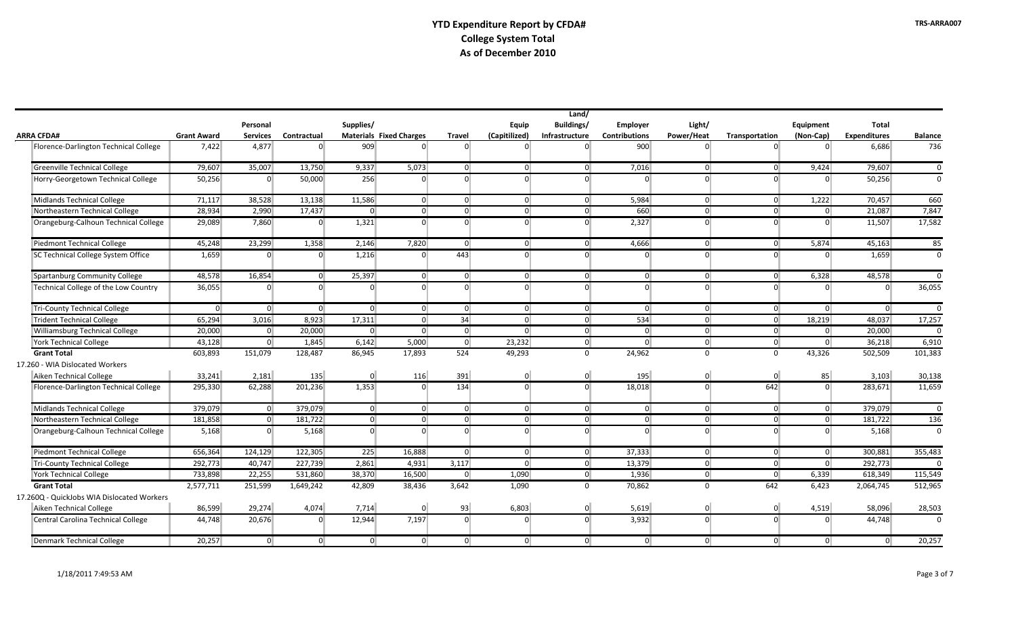|                                            |                    |                 |                |                |                                |                |                | Land/          |                      |                |                |                |                     |                |
|--------------------------------------------|--------------------|-----------------|----------------|----------------|--------------------------------|----------------|----------------|----------------|----------------------|----------------|----------------|----------------|---------------------|----------------|
|                                            |                    | Personal        |                | Supplies/      |                                |                | Equip          | Buildings/     | <b>Employer</b>      | Light/         |                | Equipment      | <b>Total</b>        |                |
| <b>ARRA CFDA#</b>                          | <b>Grant Award</b> | <b>Services</b> | Contractual    |                | <b>Materials Fixed Charges</b> | <b>Travel</b>  | (Capitilized)  | Infrastructure | <b>Contributions</b> | Power/Heat     | Transportation | (Non-Cap)      | <b>Expenditures</b> | <b>Balance</b> |
| Florence-Darlington Technical College      | 7,422              | 4,877           | $\Omega$       | 909            | $\Omega$                       | $\Omega$       |                | $\overline{0}$ | 900                  | $\Omega$       | $\Omega$       | $\Omega$       | 6,686               | 736            |
| Greenville Technical College               | 79,607             | 35,007          | 13,750         | 9,337          | 5,073                          | $\overline{0}$ | $\overline{0}$ | 0              | 7,016                | $\overline{0}$ | $\overline{0}$ | 9,424          | 79,607              | $\Omega$       |
| Horry-Georgetown Technical College         | 50,256             | $\overline{0}$  | 50,000         | 256            | $\Omega$                       | $\Omega$       | $\Omega$       | $\overline{0}$ | $\Omega$             | $\Omega$       | $\Omega$       | $\overline{0}$ | 50,256              | $\Omega$       |
| Midlands Technical College                 | 71,117             | 38,528          | 13,138         | 11,586         | $\overline{0}$                 | $\overline{0}$ | $\overline{0}$ | 0              | 5,984                | $\overline{0}$ | 0 <sup>1</sup> | 1.222          | 70,457              | 660            |
| Northeastern Technical College             | 28,934             | 2,990           | 17,437         | $\overline{0}$ | $\overline{0}$                 | $\overline{0}$ | $\overline{0}$ | 0              | 660                  | $\overline{0}$ | $\overline{0}$ | $\overline{0}$ | 21,087              | 7,847          |
| Orangeburg-Calhoun Technical College       | 29,089             | 7,860           | $\overline{0}$ | 1,321          | $\Omega$                       | $\overline{0}$ | $\Omega$       | $\overline{0}$ | 2,327                | $\Omega$       | $\Omega$       | $\Omega$       | 11,507              | 17,582         |
| Piedmont Technical College                 | 45,248             | 23,299          | 1,358          | 2,146          | 7,820                          | $\Omega$       | $\Omega$       | $\overline{0}$ | 4,666                | $\overline{0}$ | $\overline{0}$ | 5,874          | 45,163              | 85             |
| SC Technical College System Office         | 1,659              | $\overline{0}$  | $\Omega$       | 1,216          | $\Omega$                       | 443            | $\Omega$       | $\overline{0}$ | $\Omega$             | $\Omega$       | $\Omega$       | $\Omega$       | 1,659               | $\Omega$       |
| Spartanburg Community College              | 48,578             | 16,854          | $\overline{0}$ | 25,397         | $\overline{0}$                 | $\overline{0}$ | $\overline{0}$ | 0              | $\Omega$             | $\overline{0}$ | $\overline{0}$ | 6,328          | 48,578              | $\Omega$       |
| Technical College of the Low Country       | 36,055             | $\Omega$        | $\Omega$       | $\Omega$       | $\Omega$                       | $\Omega$       | $\overline{0}$ | $\overline{0}$ | $\Omega$             | $\Omega$       | $\Omega$       | $\overline{0}$ | $\Omega$            | 36,055         |
| <b>Tri-County Technical College</b>        | $\overline{0}$     | 0               | $\overline{0}$ | $\Omega$       | $\overline{0}$                 | $\overline{0}$ | $\overline{0}$ | 0              | $\Omega$             | $\overline{0}$ | $\overline{0}$ | $\overline{0}$ | $\overline{0}$      | $\Omega$       |
| <b>Trident Technical College</b>           | 65,294             | 3,016           | 8,923          | 17,311         | $\overline{0}$                 | 34             | $\overline{0}$ | 0              | 534                  | $\overline{0}$ | $\overline{0}$ | 18,219         | 48,037              | 17,257         |
| Williamsburg Technical College             | 20,000             | 0               | 20,000         | $\overline{0}$ | $\overline{0}$                 | $\overline{0}$ | $\overline{0}$ | 0              | $\Omega$             | $\overline{0}$ | $\overline{0}$ | $\overline{0}$ | 20,000              | $\Omega$       |
| <b>York Technical College</b>              | 43,128             | $\overline{0}$  | 1,845          | 6,142          | 5,000                          | $\overline{0}$ | 23,232         | 0              | $\Omega$             | $\overline{0}$ | 0              | 0              | 36,218              | 6,910          |
| <b>Grant Total</b>                         | 603,893            | 151,079         | 128,487        | 86,945         | 17,893                         | 524            | 49,293         | $\mathbf 0$    | 24,962               | $\Omega$       | $\Omega$       | 43,326         | 502,509             | 101,383        |
| 17.260 - WIA Dislocated Workers            |                    |                 |                |                |                                |                |                |                |                      |                |                |                |                     |                |
| Aiken Technical College                    | 33,241             | 2,181           | 135            | $\overline{0}$ | 116                            | 391            | $\Omega$       | $\overline{0}$ | 195                  | $\overline{0}$ | $\overline{0}$ | 85             | 3,103               | 30,138         |
| Florence-Darlington Technical College      | 295,330            | 62,288          | 201,236        | 1,353          | $\Omega$                       | 134            | $\overline{0}$ | $\overline{0}$ | 18,018               | $\Omega$       | 642            | $\overline{0}$ | 283,671             | 11,659         |
| Midlands Technical College                 | 379,079            | $\overline{0}$  | 379,079        | $\Omega$       | $\overline{0}$                 | $\overline{0}$ | $\Omega$       | 0              | $\Omega$             | $\overline{0}$ | $\overline{0}$ | $\overline{0}$ | 379,079             | $\Omega$       |
| Northeastern Technical College             | 181,858            | $\overline{0}$  | 181,722        | 0 <sup>1</sup> | $\overline{0}$                 | $\overline{0}$ | $\overline{0}$ | 0              | $\Omega$             | $\Omega$       | $\overline{0}$ | $\overline{0}$ | 181,722             | 136            |
| Orangeburg-Calhoun Technical College       | 5,168              | $\overline{0}$  | 5,168          | $\Omega$       | $\Omega$                       | $\overline{0}$ | $\Omega$       | $\overline{0}$ | $\Omega$             | $\Omega$       | $\Omega$       | $\overline{0}$ | 5,168               | $\Omega$       |
| Piedmont Technical College                 | 656,364            | 124,129         | 122,305        | 225            | 16,888                         | $\overline{0}$ | $\overline{0}$ | 0              | 37,333               | $\overline{0}$ | $\overline{0}$ | 0              | 300,881             | 355,483        |
| <b>Tri-County Technical College</b>        | 292,773            | 40,747          | 227,739        | 2,861          | 4,931                          | 3,117          | $\overline{0}$ | 0              | 13,379               | $\Omega$       | $\overline{0}$ | $\Omega$       | 292,773             | $\Omega$       |
| <b>York Technical College</b>              | 733,898            | 22,255          | 531,860        | 38,370         | 16,500                         | $\overline{0}$ | 1,090          | 0              | 1,936                | $\overline{0}$ | $\overline{0}$ | 6,339          | 618,349             | 115,549        |
| <b>Grant Total</b>                         | 2,577,711          | 251,599         | 1,649,242      | 42,809         | 38,436                         | 3,642          | 1,090          | $\overline{0}$ | 70,862               | $\Omega$       | 642            | 6,423          | 2,064,745           | 512,965        |
| 17.260Q - QuickJobs WIA Dislocated Workers |                    |                 |                |                |                                |                |                |                |                      |                |                |                |                     |                |
| Aiken Technical College                    | 86,599             | 29,274          | 4,074          | 7,714          | $\Omega$                       | 93             | 6,803          | $\mathbf{0}$   | 5,619                | $\overline{0}$ | $\overline{0}$ | 4,519          | 58,096              | 28,503         |
| Central Carolina Technical College         | 44,748             | 20,676          | $\Omega$       | 12,944         | 7,197                          | $\overline{0}$ | $\Omega$       | $\overline{0}$ | 3,932                | $\overline{0}$ | $\Omega$       | $\Omega$       | 44,748              | $\Omega$       |
| Denmark Technical College                  | 20,257             | $\overline{0}$  | $\Omega$       | $\overline{0}$ | $\overline{0}$                 | $\overline{0}$ | $\overline{0}$ | 0              | $\Omega$             | $\overline{0}$ | $\overline{0}$ | 0              | $\overline{0}$      | 20,257         |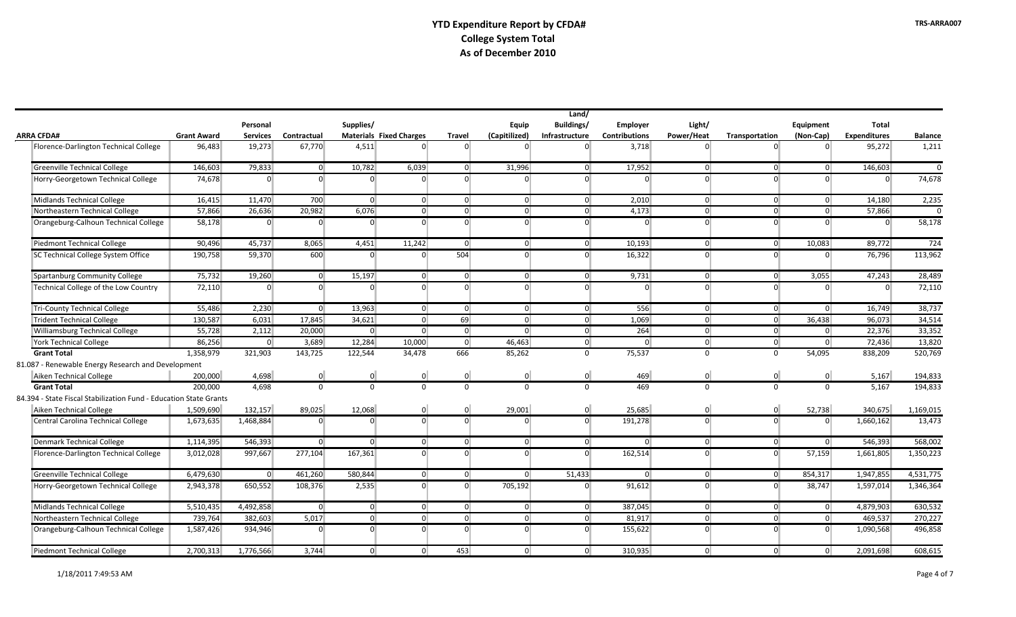|                                                                   |                    |                 |                |                |                                |                |                | Land/          |                      |                |                |                |                     |                |
|-------------------------------------------------------------------|--------------------|-----------------|----------------|----------------|--------------------------------|----------------|----------------|----------------|----------------------|----------------|----------------|----------------|---------------------|----------------|
|                                                                   |                    | Personal        |                | Supplies/      |                                |                | Equip          | Buildings/     | Employer             | Light/         |                | Equipment      | Total               |                |
| <b>ARRA CFDA#</b>                                                 | <b>Grant Award</b> | <b>Services</b> | Contractual    |                | <b>Materials Fixed Charges</b> | <b>Travel</b>  | (Capitilized)  | Infrastructure | <b>Contributions</b> | Power/Heat     | Transportation | (Non-Cap)      | <b>Expenditures</b> | <b>Balance</b> |
| Florence-Darlington Technical College                             | 96,483             | 19,273          | 67,770         | 4,511          | $\Omega$                       | $\Omega$       | $\Omega$       | $\overline{0}$ | 3,718                | $\Omega$       | $\Omega$       | $\Omega$       | 95,272              | 1,211          |
| <b>Greenville Technical College</b>                               | 146,603            | 79,833          | $\overline{0}$ | 10,782         | 6,039                          | $\overline{0}$ | 31,996         | $\overline{0}$ | 17,952               | $\overline{0}$ | $\overline{0}$ | $\overline{0}$ | 146,603             | $\Omega$       |
| Horry-Georgetown Technical College                                | 74,678             | $\Omega$        | $\Omega$       | $\Omega$       | $\Omega$                       | $\Omega$       | $\Omega$       | $\Omega$       | $\Omega$             | $\Omega$       | $\Omega$       | $\Omega$       | $\overline{0}$      | 74,678         |
| Midlands Technical College                                        | 16,415             | 11,470          | 700            | $\overline{0}$ | 0                              | $\overline{0}$ | $\overline{0}$ | 0              | 2,010                | 0              | $\overline{0}$ | $\overline{0}$ | 14,180              | 2,235          |
| Northeastern Technical College                                    | 57,866             | 26,636          | 20,982         | 6,076          | $\overline{0}$                 | $\overline{0}$ | $\overline{0}$ | $\overline{0}$ | 4,173                | $\overline{0}$ | $\overline{0}$ | $\overline{0}$ | 57,866              | $\Omega$       |
| Orangeburg-Calhoun Technical College                              | 58,178             | $\overline{0}$  | $\Omega$       | $\Omega$       | $\Omega$                       | $\overline{0}$ | $\overline{0}$ | $\overline{0}$ | $\Omega$             | $\overline{0}$ | $\Omega$       | $\Omega$       | $\overline{0}$      | 58,178         |
| Piedmont Technical College                                        | 90,496             | 45,737          | 8,065          | 4,451          | 11,242                         | $\overline{0}$ | 0              | 0              | 10,193               | 0              | $\overline{0}$ | 10,083         | 89,772              | 724            |
| SC Technical College System Office                                | 190,758            | 59,370          | 600            | $\Omega$       | $\overline{0}$                 | 504            | $\Omega$       | $\overline{0}$ | 16,322               | $\Omega$       | $\Omega$       | $\Omega$       | 76,796              | 113,962        |
| Spartanburg Community College                                     | 75,732             | 19.260          | $\overline{0}$ | 15,197         | $\overline{0}$                 | $\overline{0}$ | $\overline{0}$ | $\overline{0}$ | 9,731                | $\overline{0}$ | $\Omega$       | 3,055          | 47,243              | 28,489         |
| Technical College of the Low Country                              | 72,110             | $\Omega$        | $\overline{0}$ | $\Omega$       | $\Omega$                       | $\overline{0}$ | $\Omega$       | $\overline{0}$ | $\Omega$             | $\Omega$       | $\Omega$       | $\Omega$       | $\overline{0}$      | 72,110         |
| <b>Tri-County Technical College</b>                               | 55,486             | 2,230           | $\overline{0}$ | 13,963         | 0                              | $\overline{0}$ | $\overline{0}$ | $\mathbf{0}$   | 556                  | $\overline{0}$ | 0 <sup>1</sup> | $\overline{0}$ | 16,749              | 38,737         |
| Trident Technical College                                         | 130,587            | 6,031           | 17,845         | 34,621         | $\overline{0}$                 | 69             | $\overline{0}$ | $\mathbf{0}$   | 1,069                | $\overline{0}$ | $\overline{0}$ | 36,438         | 96,073              | 34,514         |
| <b>Williamsburg Technical College</b>                             | 55,728             | 2,112           | 20,000         | $\Omega$       | $\Omega$                       | $\overline{0}$ | $\overline{0}$ | $\overline{0}$ | 264                  | $\overline{0}$ | $\overline{0}$ | $\Omega$       | 22,376              | 33,352         |
| <b>York Technical College</b>                                     | 86,256             | $\overline{0}$  | 3,689          | 12,284         | 10,000                         | $\overline{0}$ | 46,463         | 0 <sup>1</sup> | $\Omega$             | $\overline{0}$ | $\overline{0}$ | $\overline{0}$ | 72,436              | 13,820         |
| <b>Grant Total</b>                                                | 1,358,979          | 321,903         | 143,725        | 122,544        | 34,478                         | 666            | 85,262         | $\mathbf 0$    | 75,537               | $\mathbf{0}$   | $\Omega$       | 54,095         | 838,209             | 520,769        |
| 81.087 - Renewable Energy Research and Development                |                    |                 |                |                |                                |                |                |                |                      |                |                |                |                     |                |
| Aiken Technical College                                           | 200,000            | 4,698           | $\overline{0}$ | $\Omega$       | $\overline{0}$                 | $\overline{0}$ | $\overline{0}$ | $\overline{0}$ | 469                  | $\overline{0}$ | $\overline{0}$ | $\overline{0}$ | 5,167               | 194,833        |
| <b>Grant Total</b>                                                | 200.000            | 4.698           | $\Omega$       | $\Omega$       | $\Omega$                       | $\Omega$       | $\Omega$       | $\Omega$       | 469                  | $\Omega$       | $\Omega$       | $\Omega$       | 5.167               | 194.833        |
| 84.394 - State Fiscal Stabilization Fund - Education State Grants |                    |                 |                |                |                                |                |                |                |                      |                |                |                |                     |                |
| Aiken Technical College                                           | 1,509,690          | 132,157         | 89,025         | 12,068         | $\overline{0}$                 | $\overline{0}$ | 29,001         | $\overline{0}$ | 25,685               | $\overline{0}$ | $\overline{0}$ | 52,738         | 340,675             | 1,169,015      |
| Central Carolina Technical College                                | 1,673,635          | 1,468,884       | $\overline{0}$ | $\Omega$       | $\Omega$                       | $\Omega$       | $\Omega$       | $\overline{0}$ | 191,278              | $\overline{0}$ | $\Omega$       | $\Omega$       | 1,660,162           | 13,473         |
| Denmark Technical College                                         | 1,114,395          | 546,393         | $\overline{0}$ | $\Omega$       | $\overline{0}$                 | $\overline{0}$ | $\overline{0}$ | $\overline{0}$ | $\Omega$             | $\overline{0}$ | $\overline{0}$ | $\Omega$       | 546,393             | 568,002        |
| Florence-Darlington Technical College                             | 3,012,028          | 997,667         | 277,104        | 167,361        | $\Omega$                       | $\overline{0}$ | $\Omega$       | $\Omega$       | 162,514              | $\Omega$       | $\Omega$       | 57,159         | 1,661,805           | 1,350,223      |
| <b>Greenville Technical College</b>                               | 6,479,630          | $\overline{0}$  | 461,260        | 580,844        | $\overline{0}$                 | $\overline{0}$ | $\overline{0}$ | 51,433         | $\Omega$             | $\overline{0}$ | $\overline{0}$ | 854,317        | 1,947,855           | 4,531,775      |
| Horry-Georgetown Technical College                                | 2,943,378          | 650,552         | 108,376        | 2,535          | $\overline{0}$                 | $\overline{0}$ | 705,192        | $\overline{0}$ | 91,612               | $\Omega$       | $\Omega$       | 38,747         | 1,597,014           | 1,346,364      |
| Midlands Technical College                                        | 5,510,435          | 4,492,858       | $\overline{0}$ | $\overline{0}$ | 0                              | $\overline{0}$ | $\overline{0}$ | $\mathbf{0}$   | 387,045              | $\overline{0}$ | $\mathbf{0}$   | 0              | 4,879,903           | 630,532        |
| Northeastern Technical College                                    | 739,764            | 382,603         | 5,017          | $\Omega$       | $\overline{0}$                 | $\overline{0}$ | $\overline{0}$ | $\mathbf{0}$   | 81,917               | $\overline{0}$ | $\overline{0}$ | $\Omega$       | 469,537             | 270,227        |
| Orangeburg-Calhoun Technical College                              | 1,587,426          | 934,946         | $\Omega$       | $\Omega$       | $\overline{0}$                 | $\overline{0}$ | $\Omega$       | $\mathbf{0}$   | 155,622              | $\Omega$       | $\Omega$       | $\overline{0}$ | 1,090,568           | 496,858        |
| <b>Piedmont Technical College</b>                                 | 2,700,313          | 1,776,566       | 3,744          | $\overline{0}$ | $\overline{0}$                 | 453            | $\overline{0}$ | $\overline{0}$ | 310,935              | $\overline{0}$ | $\overline{0}$ | $\overline{0}$ | 2,091,698           | 608,615        |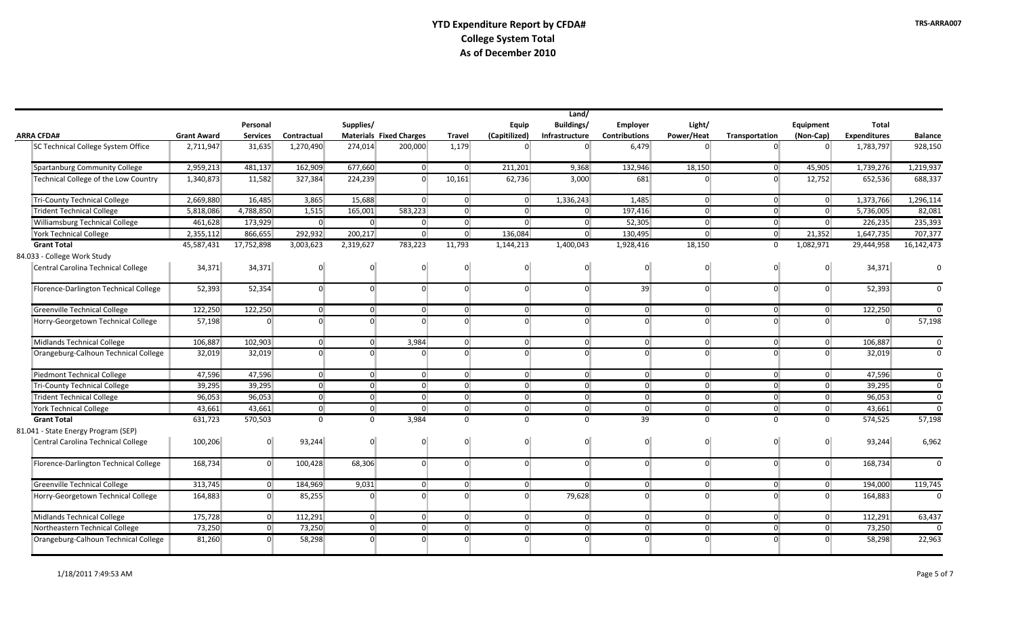|                                       |                    |                 |                |                |                                |                |                | Land/          |                      |                |                |                |                     |                |
|---------------------------------------|--------------------|-----------------|----------------|----------------|--------------------------------|----------------|----------------|----------------|----------------------|----------------|----------------|----------------|---------------------|----------------|
|                                       |                    | Personal        |                | Supplies/      |                                |                | Equip          | Buildings/     | <b>Employer</b>      | Light/         |                | Equipment      | Total               |                |
| <b>ARRA CFDA#</b>                     | <b>Grant Award</b> | <b>Services</b> | Contractual    |                | <b>Materials Fixed Charges</b> | <b>Travel</b>  | (Capitilized)  | Infrastructure | <b>Contributions</b> | Power/Heat     | Transportation | (Non-Cap)      | <b>Expenditures</b> | <b>Balance</b> |
| SC Technical College System Office    | 2,711,947          | 31,635          | 1,270,490      | 274,014        | 200,000                        | 1,179          |                | $\Omega$       | 6.479                | $\Omega$       | $\Omega$       | $\Omega$       | 1,783,797           | 928,150        |
| Spartanburg Community College         | 2,959,213          | 481,137         | 162,909        | 677,660        | $\Omega$                       | $\Omega$       | 211,201        | 9,368          | 132,946              | 18,150         | 0              | 45,905         | 1,739,276           | 1,219,937      |
| Technical College of the Low Country  | 1,340,873          | 11,582          | 327,384        | 224,239        | $\overline{0}$                 | 10,161         | 62,736         | 3,000          | 681                  | $\Omega$       | $\overline{0}$ | 12,752         | 652,536             | 688,337        |
| Tri-County Technical College          | 2,669,880          | 16,485          | 3,865          | 15,688         | $\overline{0}$                 | $\overline{0}$ | $\overline{0}$ | 1,336,243      | 1,485                | $\overline{0}$ | 0              | $\overline{0}$ | 1,373,766           | 1,296,114      |
| <b>Trident Technical College</b>      | 5,818,086          | 4,788,850       | 1,515          | 165,001        | 583,223                        | $\overline{0}$ | $\overline{0}$ | $\overline{0}$ | 197,416              | $\Omega$       | $\overline{0}$ | $\overline{0}$ | 5,736,005           | 82,081         |
| Williamsburg Technical College        | 461,628            | 173,929         | $\overline{0}$ | $\Omega$       | $\overline{0}$                 | $\overline{0}$ | $\Omega$       | 0              | 52,305               | $\overline{0}$ | $\overline{0}$ | $\overline{0}$ | 226,235             | 235,393        |
| <b>York Technical College</b>         | 2,355,112          | 866,655         | 292,932        | 200,217        | $\overline{0}$                 | $\overline{0}$ | 136,084        | $\overline{0}$ | 130,495              | $\overline{0}$ | $\overline{0}$ | 21,352         | 1,647,735           | 707,377        |
| <b>Grant Total</b>                    | 45,587,431         | 17,752,898      | 3,003,623      | 2,319,627      | 783,223                        | 11,793         | 1,144,213      | 1,400,043      | 1,928,416            | 18,150         | $\mathbf{0}$   | 1,082,971      | 29,444,958          | 16,142,473     |
| 84.033 - College Work Study           |                    |                 |                |                |                                |                |                |                |                      |                |                |                |                     |                |
| Central Carolina Technical College    | 34,371             | 34,371          | $\Omega$       | $\Omega$       | $\Omega$                       | $\Omega$       | $\Omega$       | $\overline{0}$ | $\Omega$             | $\Omega$       | $\Omega$       | $\Omega$       | 34,371              | $\Omega$       |
| Florence-Darlington Technical College | 52,393             | 52,354          | $\Omega$       | $\Omega$       | $\Omega$                       | $\Omega$       | $\Omega$       | $\overline{0}$ | 39                   | $\Omega$       | $\Omega$       | $\overline{0}$ | 52,393              | $\Omega$       |
| Greenville Technical College          | 122,250            | 122,250         | $\Omega$       | $\overline{0}$ | $\overline{0}$                 | $\overline{0}$ | $\overline{0}$ | $\overline{0}$ | $\overline{0}$       | $\overline{0}$ | $\overline{0}$ | $\Omega$       | 122,250             | $\Omega$       |
| Horry-Georgetown Technical College    | 57,198             | $\overline{0}$  | $\Omega$       | $\Omega$       | $\Omega$                       | $\Omega$       | $\Omega$       | $\overline{0}$ | $\Omega$             | $\Omega$       | $\Omega$       | $\Omega$       | $\overline{0}$      | 57,198         |
| Midlands Technical College            | 106,887            | 102,903         | $\overline{0}$ | $\overline{0}$ | 3,984                          | $\overline{0}$ | $\overline{0}$ | 0              | $\overline{0}$       | $\overline{0}$ | $\overline{0}$ | $\overline{0}$ | 106,887             | $\mathbf 0$    |
| Orangeburg-Calhoun Technical College  | 32,019             | 32,019          | $\Omega$       | $\Omega$       | $\Omega$                       | $\Omega$       | $\Omega$       | $\overline{0}$ | $\Omega$             | $\Omega$       | $\Omega$       | $\Omega$       | 32,019              | $\Omega$       |
| Piedmont Technical College            | 47,596             | 47,596          | $\overline{0}$ | $\overline{0}$ | $\overline{0}$                 | $\overline{0}$ | $\overline{0}$ | $\overline{0}$ | $\overline{0}$       | $\overline{0}$ | $\overline{0}$ | $\overline{0}$ | 47,596              | $\Omega$       |
| Tri-County Technical College          | 39,295             | 39,295          | $\overline{0}$ | $\Omega$       | $\overline{0}$                 | $\overline{0}$ | $\overline{0}$ | 0              | $\overline{0}$       | $\overline{0}$ | $\overline{0}$ | $\overline{0}$ | 39,295              | $\Omega$       |
| <b>Trident Technical College</b>      | 96,053             | 96,053          | $\overline{0}$ | $\Omega$       | $\overline{0}$                 | $\overline{0}$ | $\overline{0}$ | 0              | $\overline{0}$       | $\overline{0}$ | $\overline{0}$ | $\overline{0}$ | 96,053              | $\Omega$       |
| <b>York Technical College</b>         | 43,661             | 43,661          | $\overline{0}$ | $\overline{0}$ | $\overline{0}$                 | $\overline{0}$ | $\overline{0}$ | 0              | $\overline{0}$       | 0              | $\overline{0}$ | $\overline{0}$ | 43,661              | $\Omega$       |
| <b>Grant Total</b>                    | 631,723            | 570,503         | $\Omega$       | $\Omega$       | 3,984                          | $\Omega$       | $\Omega$       | $\Omega$       | 39                   | $\Omega$       | $\Omega$       | $\Omega$       | 574,525             | 57,198         |
| 81.041 - State Energy Program (SEP)   |                    |                 |                |                |                                |                |                |                |                      |                |                |                |                     |                |
| Central Carolina Technical College    | 100,206            | $\overline{0}$  | 93,244         | $\Omega$       | $\Omega$                       | $\overline{0}$ | $\Omega$       | $\overline{0}$ | $\Omega$             | $\Omega$       | $\overline{0}$ | $\overline{0}$ | 93,244              | 6,962          |
| Florence-Darlington Technical College | 168,734            | $\overline{0}$  | 100,428        | 68,306         | $\overline{0}$                 | $\Omega$       | $\overline{0}$ | $\overline{0}$ | $\Omega$             | $\overline{0}$ | $\overline{0}$ | $\overline{0}$ | 168,734             | $\Omega$       |
| Greenville Technical College          | 313.745            | $\Omega$        | 184.969        | 9,031          | $\Omega$                       | $\overline{0}$ | $\overline{0}$ | $\overline{0}$ | $\overline{0}$       | $\Omega$       | $\overline{0}$ | $\Omega$       | 194,000             | 119,745        |
| Horry-Georgetown Technical College    | 164,883            | $\Omega$        | 85,255         | $\overline{0}$ | $\Omega$                       | $\Omega$       | $\Omega$       | 79,628         | $\Omega$             | $\Omega$       | $\Omega$       | $\Omega$       | 164,883             | $\Omega$       |
| Midlands Technical College            | 175,728            | $\Omega$        | 112,291        | $\Omega$       | $\overline{0}$                 | $\Omega$       | $\overline{0}$ | $\overline{0}$ | $\overline{0}$       | $\Omega$       | 0              | $\overline{0}$ | 112,291             | 63,437         |
| Northeastern Technical College        | 73,250             | $\overline{0}$  | 73,250         | $\Omega$       | $\overline{0}$                 | $\Omega$       | $\overline{0}$ | 0              | $\overline{0}$       | $\overline{0}$ | $\overline{0}$ | $\overline{0}$ | 73,250              | $\Omega$       |
| Orangeburg-Calhoun Technical College  | 81,260             | $\Omega$        | 58,298         | $\Omega$       | <sub>n</sub>                   | $\Omega$       |                | $\overline{0}$ |                      | $\Omega$       | $\Omega$       | $\Omega$       | 58,298              | 22,963         |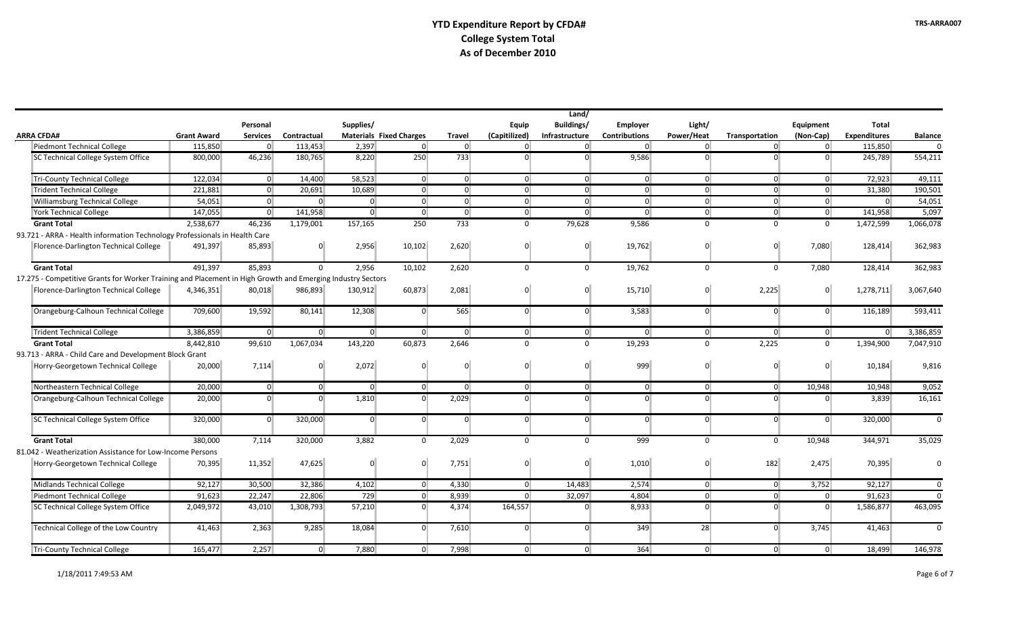|                                  |                                                                                                            | Land/              |                 |                |                |                                |                  |                |                |                      |                |                |                |                     |                |
|----------------------------------|------------------------------------------------------------------------------------------------------------|--------------------|-----------------|----------------|----------------|--------------------------------|------------------|----------------|----------------|----------------------|----------------|----------------|----------------|---------------------|----------------|
|                                  |                                                                                                            |                    | Personal        |                | Supplies/      |                                |                  | Equip          | Buildings/     | Employer             | Light/         |                | Equipment      | <b>Total</b>        |                |
| <b>ARRA CFDA#</b>                |                                                                                                            | <b>Grant Award</b> | <b>Services</b> | Contractual    |                | <b>Materials Fixed Charges</b> | <b>Travel</b>    | (Capitilized)  | Infrastructure | <b>Contributions</b> | Power/Heat     | Transportation | (Non-Cap)      | <b>Expenditures</b> | <b>Balance</b> |
| Piedmont Technical College       |                                                                                                            | 115,850            | $\Omega$        | 113,453        | 2,397          | $\overline{0}$                 | $\overline{0}$   | $\overline{0}$ | $\overline{0}$ | $\overline{0}$       | $\overline{0}$ | $\overline{0}$ | $\overline{0}$ | 115,850             | $\Omega$       |
|                                  | SC Technical College System Office                                                                         | 800,000            | 46,236          | 180,765        | 8,220          | 250                            | $\overline{733}$ | $\Omega$       | $\Omega$       | 9,586                | $\Omega$       | $\overline{0}$ | $\Omega$       | 245,789             | 554,211        |
| Tri-County Technical College     |                                                                                                            | 122,034            | 0               | 14,400         | 58,523         | $\overline{0}$                 | $\overline{0}$   | 0              | 0              | $\overline{0}$       | $\overline{0}$ | $\overline{0}$ | $\overline{0}$ | 72,923              | 49,111         |
| <b>Trident Technical College</b> |                                                                                                            | 221,881            | $\overline{0}$  | 20,691         | 10,689         | $\overline{0}$                 | $\overline{0}$   | $\overline{0}$ | $\overline{0}$ | $\overline{0}$       | $\overline{0}$ | $\overline{0}$ | $\overline{0}$ | 31,380              | 190,501        |
|                                  | <b>Williamsburg Technical College</b>                                                                      | 54,051             | 0               | $\Omega$       | 0              | $\overline{0}$                 | $\overline{0}$   | $\overline{0}$ | $\overline{0}$ | $\overline{0}$       | $\overline{0}$ | $\overline{0}$ | $\overline{0}$ | 0                   | 54,051         |
| <b>York Technical College</b>    |                                                                                                            | 147,055            | $\overline{0}$  | 141,958        | $\overline{0}$ | $\overline{0}$                 | $\overline{0}$   | $\overline{0}$ | $\Omega$       | $\overline{0}$       | $\overline{0}$ | $\overline{0}$ | $\overline{0}$ | 141,958             | 5,097          |
| <b>Grant Total</b>               |                                                                                                            | 2,538,677          | 46,236          | 1,179,001      | 157,165        | 250                            | 733              | $\mathbf{0}$   | 79,628         | 9,586                | $\mathbf 0$    | $\Omega$       | $\mathbf{0}$   | 1,472,599           | 1,066,078      |
|                                  | 93.721 - ARRA - Health information Technology Professionals in Health Care                                 |                    |                 |                |                |                                |                  |                |                |                      |                |                |                |                     |                |
|                                  | Florence-Darlington Technical College                                                                      | 491,397            | 85.893          | $\Omega$       | 2,956          | 10,102                         | 2,620            | $\Omega$       | $\Omega$       | 19,762               | $\overline{0}$ | $\Omega$       | 7.080          | 128,414             | 362,983        |
| <b>Grant Total</b>               |                                                                                                            | 491,397            | 85,893          | $\Omega$       | 2,956          | 10,102                         | 2,620            | $\Omega$       | $\overline{0}$ | 19,762               | $\Omega$       | $\Omega$       | 7,080          | 128,414             | 362,983        |
|                                  | 17.275 - Competitive Grants for Worker Training and Placement in High Growth and Emerging Industry Sectors |                    |                 |                |                |                                |                  |                |                |                      |                |                |                |                     |                |
|                                  | Florence-Darlington Technical College                                                                      | 4,346,351          | 80,018          | 986,893        | 130,912        | 60,873                         | 2,081            |                | $\Omega$       | 15,710               | $\Omega$       | 2,225          | $\Omega$       | 1,278,711           | 3,067,640      |
|                                  | Orangeburg-Calhoun Technical College                                                                       | 709,600            | 19,592          | 80,141         | 12,308         | $\overline{0}$                 | 565              | $\overline{0}$ | $\Omega$       | 3,583                | $\Omega$       | $\overline{0}$ | $\Omega$       | 116,189             | 593,411        |
| <b>Trident Technical College</b> |                                                                                                            | 3.386.859          | $\overline{0}$  | $\overline{0}$ | $\overline{0}$ | $\overline{0}$                 | $\overline{0}$   | $\overline{0}$ | $\overline{0}$ | $\Omega$             | $\overline{0}$ | $\overline{0}$ | $\overline{0}$ | $\Omega$            | 3,386,859      |
| <b>Grant Total</b>               |                                                                                                            | 8,442,810          | 99,610          | 1,067,034      | 143,220        | 60,873                         | 2,646            | $\Omega$       | $\Omega$       | 19,293               | $\Omega$       | 2,225          | $\Omega$       | 1,394,900           | 7,047,910      |
|                                  | 93.713 - ARRA - Child Care and Development Block Grant                                                     |                    |                 |                |                |                                |                  |                |                |                      |                |                |                |                     |                |
|                                  | Horry-Georgetown Technical College                                                                         | 20,000             | 7,114           | $\Omega$       | 2,072          | $\Omega$                       | $\Omega$         | $\Omega$       | $\Omega$       | 999                  | $\overline{0}$ | $\overline{0}$ | $\Omega$       | 10,184              | 9,816          |
|                                  | Northeastern Technical College                                                                             | 20,000             | 0               | $\overline{0}$ | $\overline{0}$ | $\overline{0}$                 | $\Omega$         | $\overline{0}$ | 0              | $\overline{0}$       | $\overline{0}$ | $\overline{0}$ | 10,948         | 10,948              | 9,052          |
|                                  | Orangeburg-Calhoun Technical College                                                                       | 20,000             | $\Omega$        | $\Omega$       | 1,810          | $\overline{0}$                 | 2,029            | $\Omega$       | $\Omega$       | $\Omega$             | $\Omega$       | $\Omega$       | $\Omega$       | 3,839               | 16,161         |
|                                  | SC Technical College System Office                                                                         | 320,000            | $\Omega$        | 320,000        | $\overline{0}$ | $\overline{0}$                 | $\Omega$         | $\Omega$       | $\overline{0}$ | $\Omega$             | $\Omega$       | $\overline{0}$ | $\Omega$       | 320,000             | $\Omega$       |
| <b>Grant Total</b>               |                                                                                                            | 380.000            | 7,114           | 320,000        | 3,882          | $\Omega$                       | 2,029            | $\Omega$       | $\Omega$       | 999                  | $\Omega$       | $\Omega$       | 10,948         | 344,971             | 35,029         |
|                                  | 81.042 - Weatherization Assistance for Low-Income Persons                                                  |                    |                 |                |                |                                |                  |                |                |                      |                |                |                |                     |                |
|                                  | Horry-Georgetown Technical College                                                                         | 70,395             | 11,352          | 47,625         | $\overline{0}$ | $\overline{0}$                 | 7,751            | $\overline{0}$ | $\Omega$       | 1,010                | $\overline{0}$ | 182            | 2,475          | 70,395              | $\Omega$       |
| Midlands Technical College       |                                                                                                            | 92,127             | 30,500          | 32,386         | 4,102          | $\overline{0}$                 | 4,330            | 0              | 14,483         | 2,574                | $\overline{0}$ | $\overline{0}$ | 3,752          | 92,127              | $\Omega$       |
| Piedmont Technical College       |                                                                                                            | 91,623             | 22,247          | 22,806         | 729            | $\overline{0}$                 | 8,939            | $\overline{0}$ | 32,097         | 4,804                | $\overline{0}$ | 0              | $\overline{0}$ | 91,623              | $\Omega$       |
|                                  | SC Technical College System Office                                                                         | 2,049,972          | 43,010          | 1,308,793      | 57,210         | $\overline{0}$                 | 4,374            | 164,557        | $\Omega$       | 8,933                | $\Omega$       | $\Omega$       | $\Omega$       | 1,586,877           | 463,095        |
|                                  | Technical College of the Low Country                                                                       | 41,463             | 2,363           | 9,285          | 18,084         | $\overline{0}$                 | 7,610            | $\Omega$       | $\Omega$       | 349                  | 28             | $\Omega$       | 3,745          | 41,463              | $\Omega$       |
| Tri-County Technical College     |                                                                                                            | 165,477            | 2,257           | $\overline{0}$ | 7,880          | $\overline{0}$                 | 7,998            | $\overline{0}$ | 0              | 364                  | $\overline{0}$ | 0              | $\overline{0}$ | 18,499              | 146,978        |